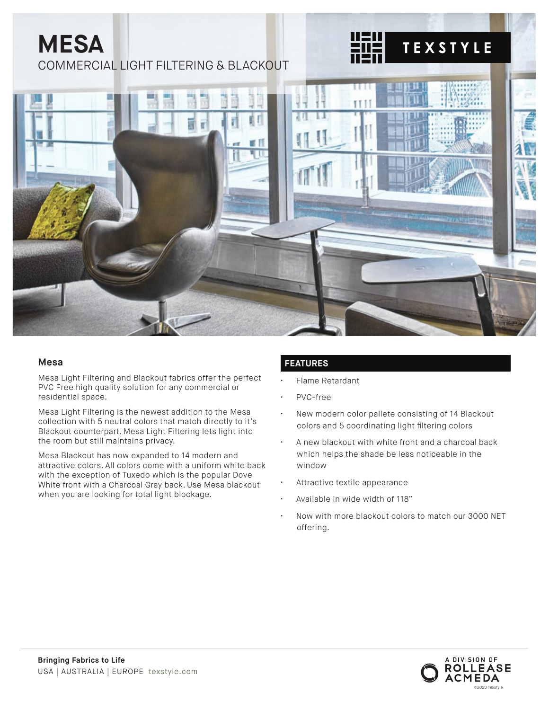# **MESA** COMMERCIAL LIGHT FILTERING & BLACKOUT



#### **Mesa**

Mesa Light Filtering and Blackout fabrics offer the perfect PVC Free high quality solution for any commercial or residential space.

Mesa Light Filtering is the newest addition to the Mesa collection with 5 neutral colors that match directly to it's Blackout counterpart. Mesa Light Filtering lets light into the room but still maintains privacy.

Mesa Blackout has now expanded to 14 modern and attractive colors. All colors come with a uniform white back with the exception of Tuxedo which is the popular Dove White front with a Charcoal Gray back. Use Mesa blackout when you are looking for total light blockage.

#### **FEATURES**

- Flame Retardant
- PVC-free
- New modern color pallete consisting of 14 Blackout colors and 5 coordinating light filtering colors

**TEXSTYLE** 

- A new blackout with white front and a charcoal back which helps the shade be less noticeable in the window
- Attractive textile appearance
- Available in wide width of 118"
- Now with more blackout colors to match our 3000 NET offering.

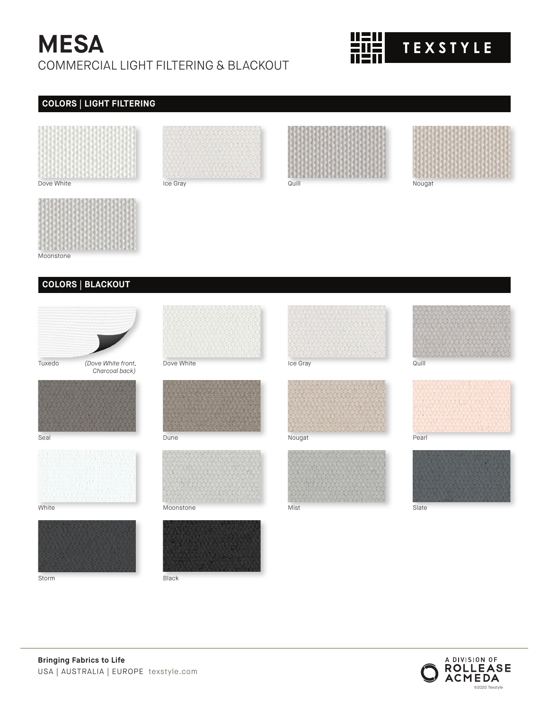## **MESA** COMMERCIAL LIGHT FILTERING & BLACKOUT

# **TEXSTYLE**

## **COLORS | LIGHT FILTERING**





Moonstone

#### **COLORS | BLACKOUT**